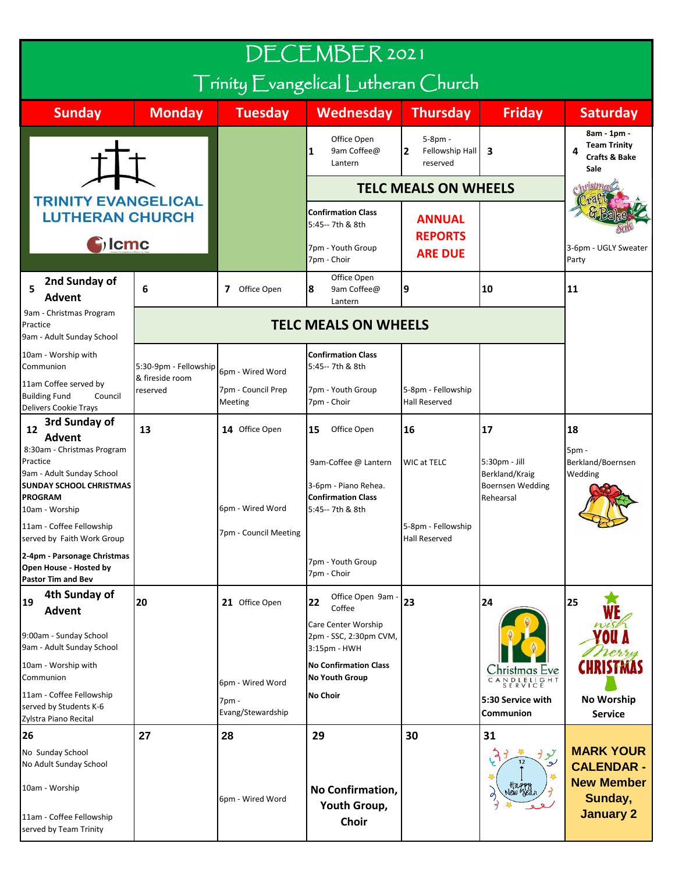| DECEMBER 2021<br>$\sqrt{\Gamma}$ rinity $\overline{\Gamma}$ vangelical Lutheran Church                                                                                                                         |                                          |                                                                  |                                                                                                                                                                                |                                                        |                                                                                |                                                                                           |
|----------------------------------------------------------------------------------------------------------------------------------------------------------------------------------------------------------------|------------------------------------------|------------------------------------------------------------------|--------------------------------------------------------------------------------------------------------------------------------------------------------------------------------|--------------------------------------------------------|--------------------------------------------------------------------------------|-------------------------------------------------------------------------------------------|
| <b>Sunday</b>                                                                                                                                                                                                  | <b>Monday</b>                            | <b>Tuesday</b>                                                   | Wednesday                                                                                                                                                                      | <b>Thursday</b>                                        | <b>Friday</b>                                                                  | <b>Saturday</b>                                                                           |
|                                                                                                                                                                                                                |                                          |                                                                  | Office Open<br>9am Coffee@<br>1<br>Lantern                                                                                                                                     | 5-8pm -<br>$\mathbf{2}$<br>Fellowship Hall<br>reserved | 3                                                                              | 8am - 1pm -<br><b>Team Trinity</b><br>4<br><b>Crafts &amp; Bake</b><br>Sale               |
| <b>TRINITY EVANGELICAL</b>                                                                                                                                                                                     |                                          |                                                                  | <b>TELC MEALS ON WHEELS</b>                                                                                                                                                    |                                                        |                                                                                |                                                                                           |
| <b>LUTHERAN CHURCH</b>                                                                                                                                                                                         |                                          |                                                                  | <b>Confirmation Class</b><br>5:45 -- 7th & 8th                                                                                                                                 | <b>ANNUAL</b>                                          |                                                                                |                                                                                           |
| $\mathbf{C}$ lcmc                                                                                                                                                                                              |                                          |                                                                  | 7pm - Youth Group<br>7pm - Choir                                                                                                                                               | <b>REPORTS</b><br><b>ARE DUE</b>                       |                                                                                | 3-6pm - UGLY Sweater<br>Party                                                             |
| 2nd Sunday of<br>5<br><b>Advent</b>                                                                                                                                                                            | 6                                        | Office Open<br>7                                                 | Office Open<br>8<br>9am Coffee@<br>Lantern                                                                                                                                     | 9                                                      | 10                                                                             | 11                                                                                        |
| 9am - Christmas Program<br>Practice<br>9am - Adult Sunday School                                                                                                                                               |                                          | <b>TELC MEALS ON WHEELS</b>                                      |                                                                                                                                                                                |                                                        |                                                                                |                                                                                           |
| 10am - Worship with<br>Communion                                                                                                                                                                               | 5:30-9pm - Fellowship<br>& fireside room | 6pm - Wired Word                                                 | <b>Confirmation Class</b><br>5:45 -- 7th & 8th                                                                                                                                 |                                                        |                                                                                |                                                                                           |
| 11am Coffee served by<br><b>Building Fund</b><br>Council<br><b>Delivers Cookie Trays</b>                                                                                                                       | reserved                                 | 7pm - Council Prep<br>Meeting                                    | 7pm - Youth Group<br>7pm - Choir                                                                                                                                               | 5-8pm - Fellowship<br><b>Hall Reserved</b>             |                                                                                |                                                                                           |
| 3rd Sunday of<br>12<br>Advent<br>8:30am - Christmas Program<br>Practice<br>9am - Adult Sunday School<br><b>SUNDAY SCHOOL CHRISTMAS</b><br><b>PROGRAM</b><br>10am - Worship                                     | 13                                       | 14 Office Open<br>6pm - Wired Word                               | Office Open<br>15<br>9am-Coffee @ Lantern<br>3-6pm - Piano Rehea.<br><b>Confirmation Class</b><br>5:45 -- 7th & 8th                                                            | 16<br><b>WIC at TELC</b>                               | 17<br>5:30pm - Jill<br>Berkland/Kraig<br><b>Boernsen Wedding</b><br>Rehearsal  | 18<br>5pm -<br>Berkland/Boernsen<br>Wedding                                               |
| 11am - Coffee Fellowship<br>served by Faith Work Group                                                                                                                                                         |                                          | 7pm - Council Meeting                                            |                                                                                                                                                                                | 5-8pm - Fellowship<br><b>Hall Reserved</b>             |                                                                                |                                                                                           |
| 2-4pm - Parsonage Christmas<br>Open House - Hosted by<br><b>Pastor Tim and Bev</b>                                                                                                                             |                                          |                                                                  | 7pm - Youth Group<br>7pm - Choir                                                                                                                                               |                                                        |                                                                                |                                                                                           |
| 4th Sunday of<br>19<br><b>Advent</b><br>9:00am - Sunday School<br>9am - Adult Sunday School<br>10am - Worship with<br>Communion<br>11am - Coffee Fellowship<br>served by Students K-6<br>Zylstra Piano Recital | 20                                       | 21 Office Open<br>6pm - Wired Word<br>7pm -<br>Evang/Stewardship | Office Open 9am -<br>22<br>Coffee<br>Care Center Worship<br>2pm - SSC, 2:30pm CVM,<br>3:15pm - HWH<br><b>No Confirmation Class</b><br><b>No Youth Group</b><br><b>No Choir</b> | 23                                                     | 24<br>hristmas Eve<br>CANDLELIGHT<br>SERVICE<br>5:30 Service with<br>Communion | 25<br><b>No Worship</b><br><b>Service</b>                                                 |
| 26<br>No Sunday School<br>No Adult Sunday School<br>10am - Worship<br>11am - Coffee Fellowship<br>served by Team Trinity                                                                                       | 27                                       | 28<br>6pm - Wired Word                                           | 29<br>No Confirmation,<br>Youth Group,<br>Choir                                                                                                                                | 30                                                     | 31<br>حو ہ<br>K<br>ريَ<br>tappy<br>New year                                    | <b>MARK YOUR</b><br><b>CALENDAR -</b><br><b>New Member</b><br>Sunday,<br><b>January 2</b> |